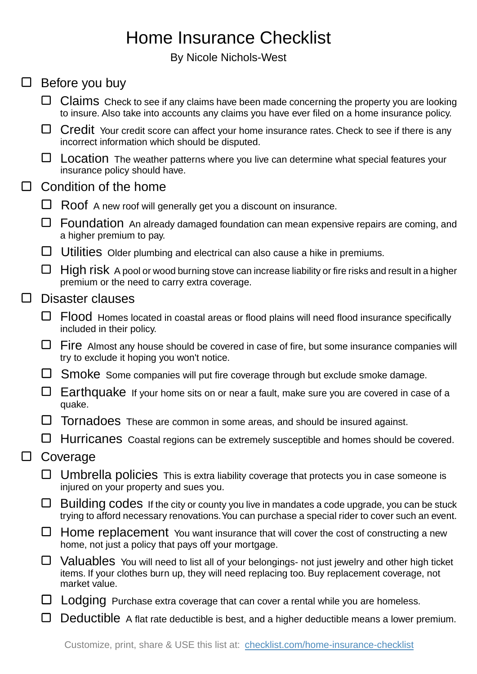## Home Insurance Checklist

By Nicole Nichols-West

| $\Box$ | Before you buy        |                                                                                                                                                                                                                |
|--------|-----------------------|----------------------------------------------------------------------------------------------------------------------------------------------------------------------------------------------------------------|
|        |                       | Claims Check to see if any claims have been made concerning the property you are looking<br>to insure. Also take into accounts any claims you have ever filed on a home insurance policy.                      |
|        | ⊔                     | Credit Your credit score can affect your home insurance rates. Check to see if there is any<br>incorrect information which should be disputed.                                                                 |
|        | ⊔                     | Location The weather patterns where you live can determine what special features your<br>insurance policy should have.                                                                                         |
| $\Box$ | Condition of the home |                                                                                                                                                                                                                |
|        | ⊔                     | Roof A new roof will generally get you a discount on insurance.                                                                                                                                                |
|        | ⊔                     | Foundation An already damaged foundation can mean expensive repairs are coming, and<br>a higher premium to pay.                                                                                                |
|        | ⊔                     | Utilities Older plumbing and electrical can also cause a hike in premiums.                                                                                                                                     |
|        | ⊔                     | High risk A pool or wood burning stove can increase liability or fire risks and result in a higher<br>premium or the need to carry extra coverage.                                                             |
| $\Box$ | Disaster clauses      |                                                                                                                                                                                                                |
|        | ⊔                     | Flood Homes located in coastal areas or flood plains will need flood insurance specifically<br>included in their policy.                                                                                       |
|        | ⊔                     | Fire Almost any house should be covered in case of fire, but some insurance companies will<br>try to exclude it hoping you won't notice.                                                                       |
|        | ⊔                     | Smoke Some companies will put fire coverage through but exclude smoke damage.                                                                                                                                  |
|        | ⊔                     | Earthquake If your home sits on or near a fault, make sure you are covered in case of a<br>quake.                                                                                                              |
|        |                       | Tornadoes These are common in some areas, and should be insured against.                                                                                                                                       |
|        |                       | $\Box$ Hurricanes Coastal regions can be extremely susceptible and homes should be covered.                                                                                                                    |
| ⊔      | Coverage              |                                                                                                                                                                                                                |
|        |                       | Umbrella policies This is extra liability coverage that protects you in case someone is<br>injured on your property and sues you.                                                                              |
|        | □                     | Building codes If the city or county you live in mandates a code upgrade, you can be stuck<br>trying to afford necessary renovations. You can purchase a special rider to cover such an event.                 |
|        | ⊔                     | Home replacement You want insurance that will cover the cost of constructing a new<br>home, not just a policy that pays off your mortgage.                                                                     |
|        | $\Box$                | Valuables You will need to list all of your belongings- not just jewelry and other high ticket<br>items. If your clothes burn up, they will need replacing too. Buy replacement coverage, not<br>market value. |
|        |                       | Lodging Purchase extra coverage that can cover a rental while you are homeless.                                                                                                                                |

Deductible A flat rate deductible is best, and a higher deductible means a lower premium.